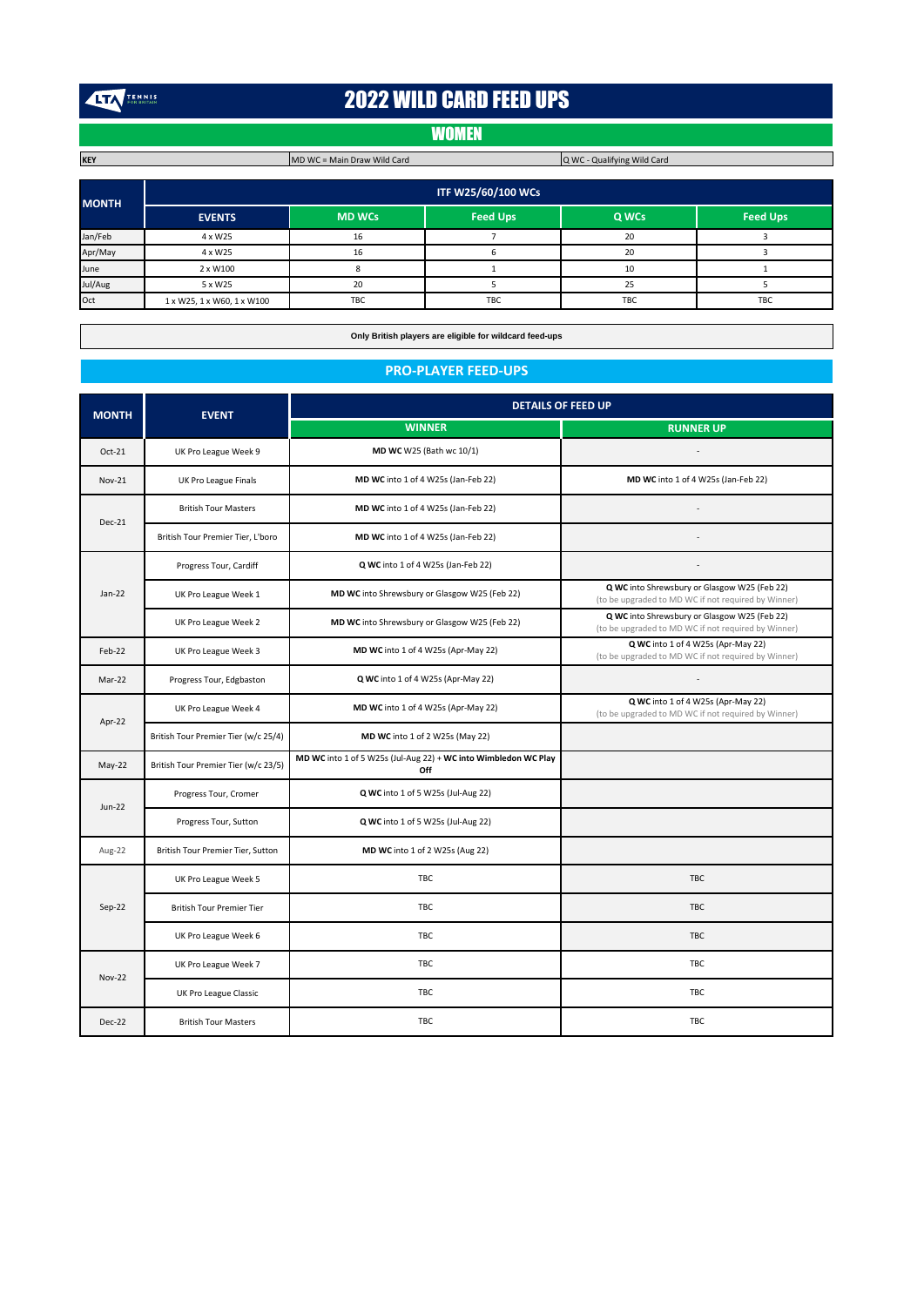TENNIS

# 2022 WILD CARD FEED UPS

# **WOMEN**

Q WC - Qualifying Wild Card

**EVENTS MD WCs Feed Ups Q WCs Feed Ups** Jan/Feb | 4 x W25 | 16 | 7 | 20 | 3 Apr/May | 4x W25 | 16 | 6 | 20 | 3 June | 2 x W100 | 8 | 1 | 10 | 10 Jul/Aug | 5 x W25 | 20 | 5 | 25 | 3 Oct 1 x W25, 1 x W60, 1 x W100 TBC TBC TBC TBC TBC TBC TBC **MONTH ITF W25/60/100 WCs**

**Only British players are eligible for wildcard feed-ups**

#### **PRO-PLAYER FEED-UPS**

| <b>MONTH</b>  | <b>EVENT</b>                         | <b>DETAILS OF FEED UP</b>                                              |                                                                                                     |  |
|---------------|--------------------------------------|------------------------------------------------------------------------|-----------------------------------------------------------------------------------------------------|--|
|               |                                      | <b>WINNER</b>                                                          | <b>RUNNER UP</b>                                                                                    |  |
| Oct-21        | UK Pro League Week 9                 | MD WC W25 (Bath wc 10/1)                                               |                                                                                                     |  |
| <b>Nov-21</b> | UK Pro League Finals                 | MD WC into 1 of 4 W25s (Jan-Feb 22)                                    | MD WC into 1 of 4 W25s (Jan-Feb 22)                                                                 |  |
|               | <b>British Tour Masters</b>          | MD WC into 1 of 4 W25s (Jan-Feb 22)                                    |                                                                                                     |  |
| <b>Dec-21</b> | British Tour Premier Tier, L'boro    | MD WC into 1 of 4 W25s (Jan-Feb 22)                                    |                                                                                                     |  |
|               | Progress Tour, Cardiff               | Q WC into 1 of 4 W25s (Jan-Feb 22)                                     |                                                                                                     |  |
| $Jan-22$      | UK Pro League Week 1                 | MD WC into Shrewsbury or Glasgow W25 (Feb 22)                          | Q WC into Shrewsbury or Glasgow W25 (Feb 22)<br>(to be upgraded to MD WC if not required by Winner) |  |
|               | UK Pro League Week 2                 | MD WC into Shrewsbury or Glasgow W25 (Feb 22)                          | Q WC into Shrewsbury or Glasgow W25 (Feb 22)<br>(to be upgraded to MD WC if not required by Winner) |  |
| Feb-22        | UK Pro League Week 3                 | MD WC into 1 of 4 W25s (Apr-May 22)                                    | Q WC into 1 of 4 W25s (Apr-May 22)<br>(to be upgraded to MD WC if not required by Winner)           |  |
| Mar-22        | Progress Tour, Edgbaston             | Q WC into 1 of 4 W25s (Apr-May 22)                                     | $\sim$                                                                                              |  |
|               | UK Pro League Week 4                 | MD WC into 1 of 4 W25s (Apr-May 22)                                    | Q WC into 1 of 4 W25s (Apr-May 22)<br>(to be upgraded to MD WC if not required by Winner)           |  |
| Apr-22        | British Tour Premier Tier (w/c 25/4) | MD WC into 1 of 2 W25s (May 22)                                        |                                                                                                     |  |
| $May-22$      | British Tour Premier Tier (w/c 23/5) | MD WC into 1 of 5 W25s (Jul-Aug 22) + WC into Wimbledon WC Play<br>Off |                                                                                                     |  |
|               | Progress Tour, Cromer                | Q WC into 1 of 5 W25s (Jul-Aug 22)                                     |                                                                                                     |  |
| Jun-22        | Progress Tour, Sutton                | Q WC into 1 of 5 W25s (Jul-Aug 22)                                     |                                                                                                     |  |
| Aug-22        | British Tour Premier Tier, Sutton    | MD WC into 1 of 2 W25s (Aug 22)                                        |                                                                                                     |  |
| Sep-22        | UK Pro League Week 5                 | TBC                                                                    | TBC                                                                                                 |  |
|               | British Tour Premier Tier            | <b>TBC</b>                                                             | TBC.                                                                                                |  |
|               | UK Pro League Week 6                 | TBC                                                                    | <b>TBC</b>                                                                                          |  |
|               | UK Pro League Week 7                 | TBC                                                                    | TBC                                                                                                 |  |
| <b>Nov-22</b> | UK Pro League Classic                | <b>TBC</b>                                                             | TBC.                                                                                                |  |
| Dec-22        | <b>British Tour Masters</b>          | TBC                                                                    | TBC                                                                                                 |  |

**KEY** MD WC = Main Draw Wild Card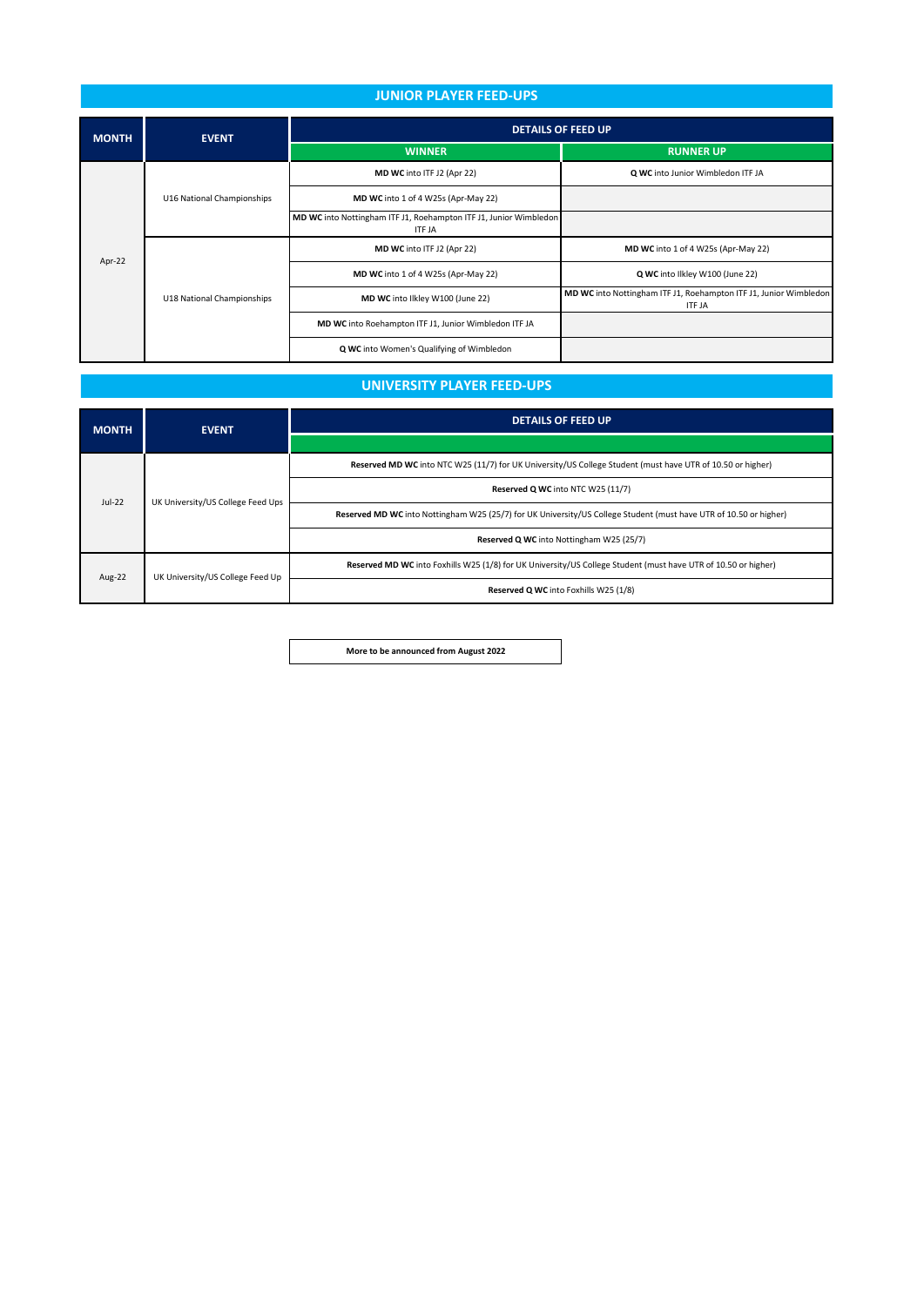### **JUNIOR PLAYER FEED-UPS**

| <b>MONTH</b> | <b>EVENT</b>               | <b>DETAILS OF FEED UP</b>                                                          |                                                                                    |  |
|--------------|----------------------------|------------------------------------------------------------------------------------|------------------------------------------------------------------------------------|--|
|              |                            | <b>WINNER</b>                                                                      | <b>RUNNER UP</b>                                                                   |  |
| Apr-22       | U16 National Championships | MD WC into ITF J2 (Apr 22)                                                         | Q WC into Junior Wimbledon ITF JA                                                  |  |
|              |                            | MD WC into 1 of 4 W25s (Apr-May 22)                                                |                                                                                    |  |
|              |                            | MD WC into Nottingham ITF J1, Roehampton ITF J1, Junior Wimbledon<br><b>ITF JA</b> |                                                                                    |  |
|              | U18 National Championships | MD WC into ITF J2 (Apr 22)                                                         | MD WC into 1 of 4 W25s (Apr-May 22)                                                |  |
|              |                            | MD WC into 1 of 4 W25s (Apr-May 22)                                                | Q WC into Ilkley W100 (June 22)                                                    |  |
|              |                            | MD WC into Ilkley W100 (June 22)                                                   | MD WC into Nottingham ITF J1, Roehampton ITF J1, Junior Wimbledon<br><b>ITF JA</b> |  |
|              |                            | MD WC into Roehampton ITF J1, Junior Wimbledon ITF JA                              |                                                                                    |  |
|              |                            | Q WC into Women's Qualifying of Wimbledon                                          |                                                                                    |  |

## **UNIVERSITY PLAYER FEED-UPS**

| <b>MONTH</b> | <b>EVENT</b>                      | <b>DETAILS OF FEED UP</b>                                                                                         |  |
|--------------|-----------------------------------|-------------------------------------------------------------------------------------------------------------------|--|
|              |                                   |                                                                                                                   |  |
| $Jul-22$     | UK University/US College Feed Ups | Reserved MD WC into NTC W25 (11/7) for UK University/US College Student (must have UTR of 10.50 or higher)        |  |
|              |                                   | Reserved Q WC into NTC W25 (11/7)                                                                                 |  |
|              |                                   | Reserved MD WC into Nottingham W25 (25/7) for UK University/US College Student (must have UTR of 10.50 or higher) |  |
|              |                                   | Reserved Q WC into Nottingham W25 (25/7)                                                                          |  |
| Aug-22       | UK University/US College Feed Up  | Reserved MD WC into Foxhills W25 (1/8) for UK University/US College Student (must have UTR of 10.50 or higher)    |  |
|              |                                   | Reserved Q WC into Foxhills W25 (1/8)                                                                             |  |

**More to be announced from August 2022**